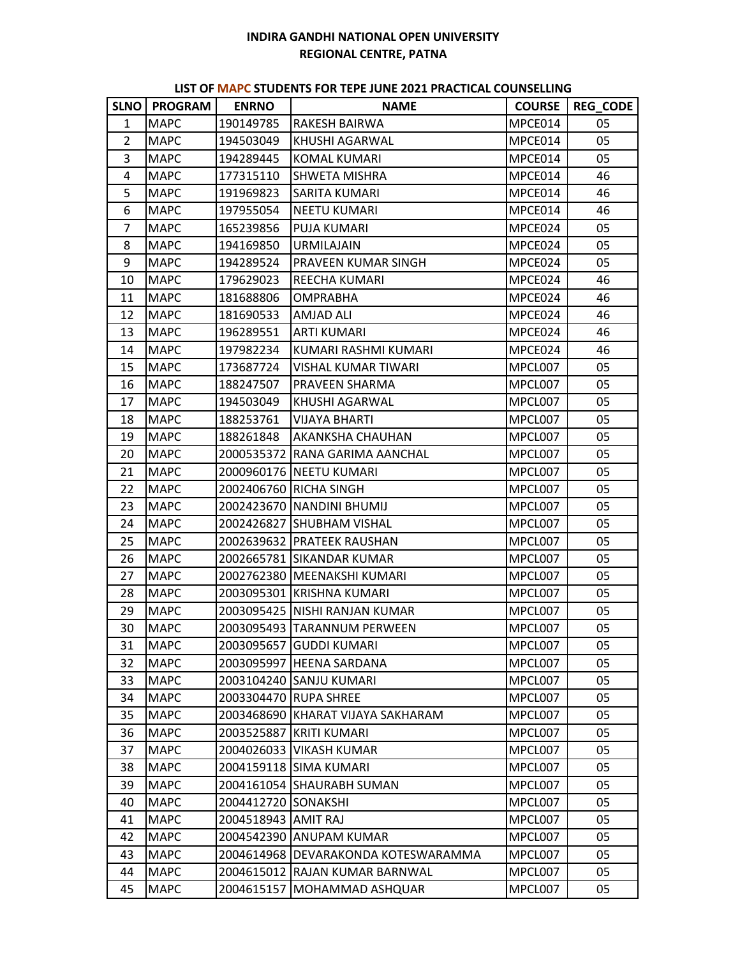## **INDIRA GANDHI NATIONAL OPEN UNIVERSITY REGIONAL CENTRE, PATNA**

## **LIST OF MAPC STUDENTS FOR TEPE JUNE 2021 PRACTICAL COUNSELLING**

|              | SLNO   PROGRAM | <b>ENRNO</b>          | <b>NAME</b>                       | <b>COURSE</b> | <b>REG_CODE</b> |
|--------------|----------------|-----------------------|-----------------------------------|---------------|-----------------|
| $\mathbf{1}$ | <b>MAPC</b>    | 190149785             | RAKESH BAIRWA                     | MPCE014       | 05              |
| 2            | <b>MAPC</b>    | 194503049             | KHUSHI AGARWAL                    | MPCE014       | 05              |
| 3            | <b>MAPC</b>    | 194289445             | <b>KOMAL KUMARI</b>               | MPCE014       | 05              |
| 4            | <b>MAPC</b>    | 177315110             | SHWETA MISHRA                     | MPCE014       | 46              |
| 5            | <b>MAPC</b>    | 191969823             | SARITA KUMARI                     | MPCE014       | 46              |
| 6            | <b>MAPC</b>    | 197955054             | NEETU KUMARI                      | MPCE014       | 46              |
| 7            | <b>MAPC</b>    | 165239856             | PUJA KUMARI                       | MPCE024       | 05              |
| 8            | <b>MAPC</b>    | 194169850             | <b>URMILAJAIN</b>                 | MPCE024       | 05              |
| 9            | <b>MAPC</b>    | 194289524             | PRAVEEN KUMAR SINGH               | MPCE024       | 05              |
| 10           | <b>MAPC</b>    | 179629023             | REECHA KUMARI                     | MPCE024       | 46              |
| 11           | <b>MAPC</b>    | 181688806             | OMPRABHA                          | MPCE024       | 46              |
| 12           | <b>MAPC</b>    | 181690533             | AMJAD ALI                         | MPCE024       | 46              |
| 13           | <b>MAPC</b>    | 196289551             | <b>ARTI KUMARI</b>                | MPCE024       | 46              |
| 14           | <b>MAPC</b>    | 197982234             | KUMARI RASHMI KUMARI              | MPCE024       | 46              |
| 15           | <b>MAPC</b>    | 173687724             | VISHAL KUMAR TIWARI               | MPCL007       | 05              |
| 16           | <b>MAPC</b>    | 188247507             | PRAVEEN SHARMA                    | MPCL007       | 05              |
| 17           | <b>MAPC</b>    | 194503049             | KHUSHI AGARWAL                    | MPCL007       | 05              |
| 18           | <b>MAPC</b>    | 188253761             | <b>VIJAYA BHARTI</b>              | MPCL007       | 05              |
| 19           | <b>MAPC</b>    | 188261848             | AKANKSHA CHAUHAN                  | MPCL007       | 05              |
| 20           | <b>MAPC</b>    |                       | 2000535372 RANA GARIMA AANCHAL    | MPCL007       | 05              |
| 21           | <b>MAPC</b>    |                       | 2000960176 NEETU KUMARI           | MPCL007       | 05              |
| 22           | <b>MAPC</b>    |                       | 2002406760 RICHA SINGH            | MPCL007       | 05              |
| 23           | <b>MAPC</b>    |                       | 2002423670 NANDINI BHUMIJ         | MPCL007       | 05              |
| 24           | <b>MAPC</b>    |                       | 2002426827 SHUBHAM VISHAL         | MPCL007       | 05              |
| 25           | <b>MAPC</b>    |                       | 2002639632 PRATEEK RAUSHAN        | MPCL007       | 05              |
| 26           | <b>MAPC</b>    |                       | 2002665781 SIKANDAR KUMAR         | MPCL007       | 05              |
| 27           | <b>MAPC</b>    |                       | 2002762380   MEENAKSHI KUMARI     | MPCL007       | 05              |
| 28           | <b>MAPC</b>    |                       | 2003095301 KRISHNA KUMARI         | MPCL007       | 05              |
| 29           | <b>MAPC</b>    |                       | 2003095425 NISHI RANJAN KUMAR     | MPCL007       | 05              |
| 30           | <b>MAPC</b>    |                       | 2003095493 TARANNUM PERWEEN       | MPCL007       | 05              |
| 31           | <b>MAPC</b>    |                       | 2003095657 GUDDI KUMARI           | MPCL007       | 05              |
| 32           | <b>MAPC</b>    |                       | 2003095997 HEENA SARDANA          | MPCL007       | 05              |
| 33           | <b>MAPC</b>    |                       | 2003104240 SANJU KUMARI           | MPCL007       | 05              |
| 34           | <b>MAPC</b>    | 2003304470 RUPA SHREE |                                   | MPCL007       | 05              |
| 35           | <b>MAPC</b>    |                       | 2003468690 KHARAT VIJAYA SAKHARAM | MPCL007       | 05              |
| 36           | <b>MAPC</b>    | 2003525887            | <b>KRITI KUMARI</b>               | MPCL007       | 05              |
| 37           | <b>MAPC</b>    |                       | 2004026033   VIKASH KUMAR         | MPCL007       | 05              |
| 38           | <b>MAPC</b>    |                       | 2004159118 SIMA KUMARI            | MPCL007       | 05              |
| 39           | <b>MAPC</b>    |                       | 2004161054 SHAURABH SUMAN         | MPCL007       | 05              |
| 40           | <b>MAPC</b>    | 2004412720 SONAKSHI   |                                   | MPCL007       | 05              |
| 41           | <b>MAPC</b>    | 2004518943 AMIT RAJ   |                                   | MPCL007       | 05              |
| 42           | <b>MAPC</b>    |                       | 2004542390 ANUPAM KUMAR           | MPCL007       | 05              |
| 43           | <b>MAPC</b>    | 2004614968            | DEVARAKONDA KOTESWARAMMA          | MPCL007       | 05              |
| 44           | <b>MAPC</b>    | 2004615012            | RAJAN KUMAR BARNWAL               | MPCL007       | 05              |
| 45           | <b>MAPC</b>    | 2004615157            | MOHAMMAD ASHQUAR                  | MPCL007       | 05              |